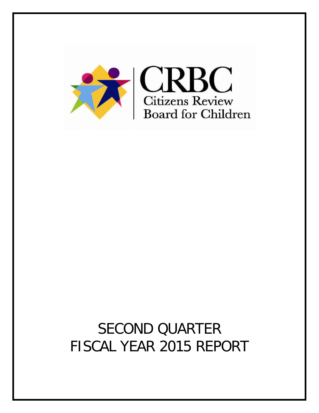

# SECOND QUARTER FISCAL YEAR 2015 REPORT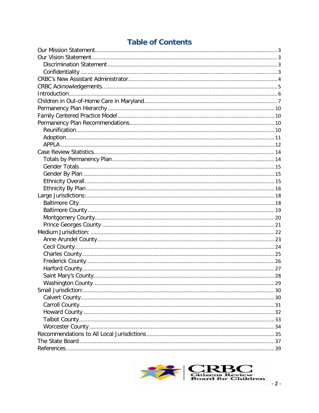# **Table of Contents**

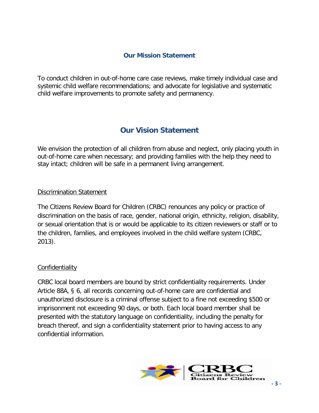# **Our Mission Statement**

<span id="page-2-0"></span>To conduct children in out-of-home care case reviews, make timely individual case and systemic child welfare recommendations; and advocate for legislative and systematic child welfare improvements to promote safety and permanency.

# **Our Vision Statement**

<span id="page-2-1"></span>We envision the protection of all children from abuse and neglect, only placing youth in out-of-home care when necessary; and providing families with the help they need to stay intact; children will be safe in a permanent living arrangement.

#### <span id="page-2-2"></span>Discrimination Statement

The Citizens Review Board for Children (CRBC) renounces any policy or practice of discrimination on the basis of race, gender, national origin, ethnicity, religion, disability, or sexual orientation that is or would be applicable to its citizen reviewers or staff or to the children, families, and employees involved in the child welfare system (CRBC, 2013).

#### <span id="page-2-3"></span>**Confidentiality**

CRBC local board members are bound by strict confidentiality requirements. Under Article 88A, § 6, all records concerning out-of-home care are confidential and unauthorized disclosure is a criminal offense subject to a fine not exceeding \$500 or imprisonment not exceeding 90 days, or both. Each local board member shall be presented with the statutory language on confidentiality, including the penalty for breach thereof, and sign a confidentiality statement prior to having access to any confidential information.

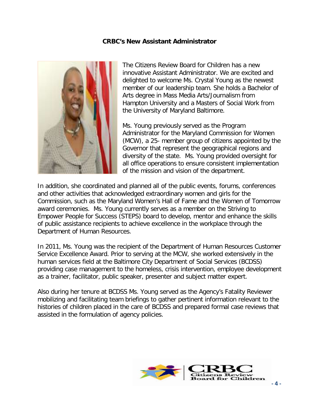#### **CRBC's New Assistant Administrator**

<span id="page-3-0"></span>

The Citizens Review Board for Children has a new innovative Assistant Administrator. We are excited and delighted to welcome Ms. Crystal Young as the newest member of our leadership team. She holds a Bachelor of Arts degree in Mass Media Arts/Journalism from Hampton University and a Masters of Social Work from the University of Maryland Baltimore.

Ms. Young previously served as the Program Administrator for the Maryland Commission for Women (MCW), a 25- member group of citizens appointed by the Governor that represent the geographical regions and diversity of the state. Ms. Young provided oversight for all office operations to ensure consistent implementation of the mission and vision of the department.

In addition, she coordinated and planned all of the public events, forums, conferences and other activities that acknowledged extraordinary women and girls for the Commission, such as the Maryland Women's Hall of Fame and the Women of Tomorrow award ceremonies. Ms. Young currently serves as a member on the Striving to Empower People for Success (STEPS) board to develop, mentor and enhance the skills of public assistance recipients to achieve excellence in the workplace through the Department of Human Resources.

In 2011, Ms. Young was the recipient of the Department of Human Resources Customer Service Excellence Award. Prior to serving at the MCW, she worked extensively in the human services field at the Baltimore City Department of Social Services (BCDSS) providing case management to the homeless, crisis intervention, employee development as a trainer, facilitator, public speaker, presenter and subject matter expert.

Also during her tenure at BCDSS Ms. Young served as the Agency's Fatality Reviewer mobilizing and facilitating team briefings to gather pertinent information relevant to the histories of children placed in the care of BCDSS and prepared formal case reviews that assisted in the formulation of agency policies.

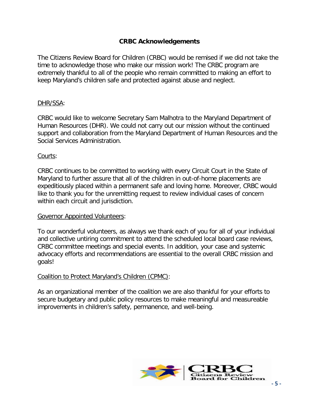#### **CRBC Acknowledgements**

<span id="page-4-0"></span>The Citizens Review Board for Children (CRBC) would be remised if we did not take the time to acknowledge those who make our mission work! The CRBC program are extremely thankful to all of the people who remain committed to making an effort to keep Maryland's children safe and protected against abuse and neglect.

#### DHR/SSA:

CRBC would like to welcome Secretary Sam Malhotra to the Maryland Department of Human Resources (DHR). We could not carry out our mission without the continued support and collaboration from the Maryland Department of Human Resources and the Social Services Administration.

#### Courts:

CRBC continues to be committed to working with every Circuit Court in the State of Maryland to further assure that all of the children in out-of-home placements are expeditiously placed within a permanent safe and loving home. Moreover, CRBC would like to thank you for the unremitting request to review individual cases of concern within each circuit and jurisdiction.

#### Governor Appointed Volunteers:

To our wonderful volunteers, as always we thank each of you for all of your individual and collective untiring commitment to attend the scheduled local board case reviews, CRBC committee meetings and special events. In addition, your case and systemic advocacy efforts and recommendations are essential to the overall CRBC mission and goals!

#### Coalition to Protect Maryland's Children (CPMC):

As an organizational member of the coalition we are also thankful for your efforts to secure budgetary and public policy resources to make meaningful and measureable improvements in children's safety, permanence, and well-being.

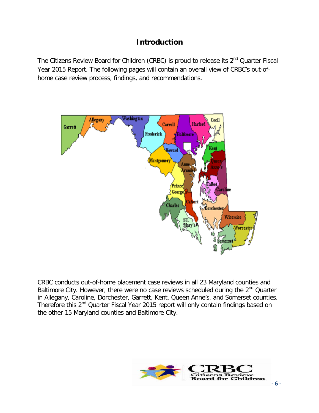# **Introduction**

<span id="page-5-0"></span>The Citizens Review Board for Children (CRBC) is proud to release its 2<sup>nd</sup> Quarter Fiscal Year 2015 Report. The following pages will contain an overall view of CRBC's out-ofhome case review process, findings, and recommendations.



CRBC conducts out-of-home placement case reviews in all 23 Maryland counties and Baltimore City. However, there were no case reviews scheduled during the 2<sup>nd</sup> Quarter in Allegany, Caroline, Dorchester, Garrett, Kent, Queen Anne's, and Somerset counties. Therefore this 2<sup>nd</sup> Quarter Fiscal Year 2015 report will only contain findings based on the other 15 Maryland counties and Baltimore City.

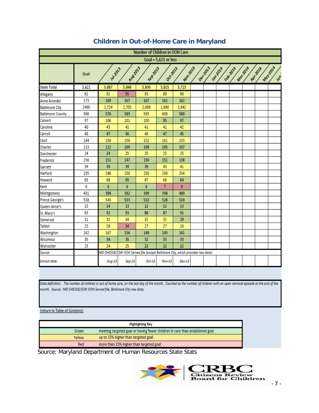<span id="page-6-0"></span>

|                                                                                                                                                                     | Number of Children in OOH Care |        |        |                                                                                 |                |        |  |  |  |  |  |
|---------------------------------------------------------------------------------------------------------------------------------------------------------------------|--------------------------------|--------|--------|---------------------------------------------------------------------------------|----------------|--------|--|--|--|--|--|
|                                                                                                                                                                     | Goal = $5,621$ or less         |        |        |                                                                                 |                |        |  |  |  |  |  |
| May201A<br>Aug.2013<br>Dec <sub>2013</sub><br>Mar-2014<br>Septata<br>Nov-2013<br>Oct-2013<br>Jamzona<br>Febrana<br>Apr.2014<br><b>14/2013</b><br>Goal<br><b>VOS</b> |                                |        |        |                                                                                 |                |        |  |  |  |  |  |
| <b>State Total</b>                                                                                                                                                  | 5,621                          | 5,887  | 5,848  | 5,830                                                                           | 5,815          | 5,723  |  |  |  |  |  |
| Allegany                                                                                                                                                            | 81                             | 92     | 95     | 93                                                                              | 89             | 90     |  |  |  |  |  |
| <b>Anne Arundel</b>                                                                                                                                                 | 173                            | 169    | 167    | 167                                                                             | 161            | 162    |  |  |  |  |  |
| <b>Baltimore City</b>                                                                                                                                               | 2490                           | 2,724  | 2,703  | 2,698                                                                           | 2,690          | 2,642  |  |  |  |  |  |
| <b>Baltimore County</b>                                                                                                                                             | 586                            | 576    | 583    | 593                                                                             | 600            | 580    |  |  |  |  |  |
| Calvert                                                                                                                                                             | 97                             | 106    | 101    | 100                                                                             | 95             | 97     |  |  |  |  |  |
| Caroline                                                                                                                                                            | 40                             | 43     | 41     | 41                                                                              | 41             | 42     |  |  |  |  |  |
| Carroll                                                                                                                                                             | 48                             | 47     | 46     | 49                                                                              | 47             | 45     |  |  |  |  |  |
| Cecil                                                                                                                                                               | 144                            | 156    | 156    | 152                                                                             | 161            | 153    |  |  |  |  |  |
| <b>Charles</b>                                                                                                                                                      | 113                            | 112    | 109    | 108                                                                             | 105            | 107    |  |  |  |  |  |
| Dorchester                                                                                                                                                          | 24                             | 24     | 25     | 25                                                                              | 25             | 25     |  |  |  |  |  |
| Frederick                                                                                                                                                           | 156                            | 151    | 147    | 150                                                                             | 151            | 138    |  |  |  |  |  |
| Garrett                                                                                                                                                             | 39                             | 39     | 39     | 39                                                                              | 43             | 41     |  |  |  |  |  |
| Harford                                                                                                                                                             | 235                            | 246    | 250    | 250                                                                             | 250            | 254    |  |  |  |  |  |
| Howard                                                                                                                                                              | 65                             | 68     | 65     | 67                                                                              | 68             | 64     |  |  |  |  |  |
| Kent                                                                                                                                                                | 6                              | 6      | 6      | 6                                                                               | $\overline{7}$ | 9      |  |  |  |  |  |
| Montgomery                                                                                                                                                          | 401                            | 394    | 392    | 399                                                                             | 398            | 400    |  |  |  |  |  |
| <b>Prince George's</b>                                                                                                                                              | 538                            | 543    | 533    | 532                                                                             | 528            | 519    |  |  |  |  |  |
| Queen Anne's                                                                                                                                                        | 15                             | 14     | 13     | 12                                                                              | 12             | 13     |  |  |  |  |  |
| St. Mary's                                                                                                                                                          | 93                             | 92     | 93     | 88                                                                              | 87             | 91     |  |  |  |  |  |
| Somerset                                                                                                                                                            | 31                             | 32     | 34     | 32                                                                              | 32             | 29     |  |  |  |  |  |
| <b>Talbot</b>                                                                                                                                                       | 25                             | 28     | 34     | 27                                                                              | 27             | 26     |  |  |  |  |  |
| Washington                                                                                                                                                          | 162                            | 167    | 156    | 148                                                                             | 143            | 141    |  |  |  |  |  |
| Wicomico                                                                                                                                                            | 35                             | 34     | 35     | 32                                                                              | 33             | 33     |  |  |  |  |  |
| Worcester                                                                                                                                                           | 23                             | 24     | 25     | 22                                                                              | 22             | 22     |  |  |  |  |  |
| Source:                                                                                                                                                             |                                |        |        | MD CHESSIE/SSW OOH Served file (except Baltimore City, which provides raw data) |                |        |  |  |  |  |  |
| Extract date:                                                                                                                                                       |                                | Aug-13 | Sep-13 | Oct-13                                                                          | Nov-13         | Dec-13 |  |  |  |  |  |

# **Children in Out-of-Home Care in Maryland**

Data definition: The number of children in out of home care, on the last day of the month. Counted as the number of children with an open removal episode at the end of the month. Source: MD CHESSIE/SSW OOH Served file; Baltimore City raw data.

#### (return to Table of Contents)

| <b>Highlighting Key</b> |                                                                              |  |  |  |
|-------------------------|------------------------------------------------------------------------------|--|--|--|
| Green                   | meeting targeted goal or having fewer children in care than established goal |  |  |  |
| Yellow                  | up to 15% higher than targeted goal                                          |  |  |  |
| Red                     | more than 15% higher than targeted goal                                      |  |  |  |

Source: Maryland Department of Human Resources State Stats

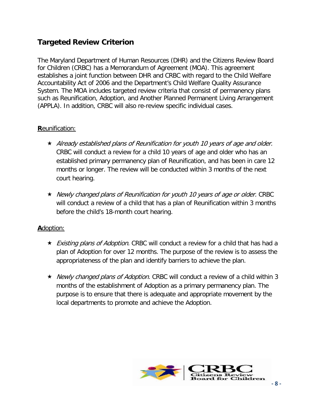# **Targeted Review Criterion**

The Maryland Department of Human Resources (DHR) and the Citizens Review Board for Children (CRBC) has a Memorandum of Agreement (MOA). This agreement establishes a joint function between DHR and CRBC with regard to the Child Welfare Accountability Act of 2006 and the Department's Child Welfare Quality Assurance System. The MOA includes targeted review criteria that consist of permanency plans such as Reunification, Adoption, and Another Planned Permanent Living Arrangement (APPLA). In addition, CRBC will also re-review specific individual cases.

#### **R**eunification:

- $\star$  Already established plans of Reunification for youth 10 years of age and older. CRBC will conduct a review for a child 10 years of age and older who has an established primary permanency plan of Reunification, and has been in care 12 months or longer. The review will be conducted within 3 months of the next court hearing.
- Newly changed plans of Reunification for youth 10 years of age or older. CRBC will conduct a review of a child that has a plan of Reunification within 3 months before the child's 18-month court hearing.

#### **A**doption:

- ★ *Existing plans of Adoption.* CRBC will conduct a review for a child that has had a plan of Adoption for over 12 months. The purpose of the review is to assess the appropriateness of the plan and identify barriers to achieve the plan.
- ★ Newly changed plans of Adoption. CRBC will conduct a review of a child within 3 months of the establishment of Adoption as a primary permanency plan. The purpose is to ensure that there is adequate and appropriate movement by the local departments to promote and achieve the Adoption.

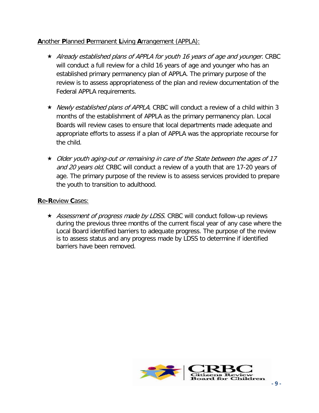### **A**nother **P**lanned **P**ermanent **L**iving **A**rrangement (APPLA):

- $\star$  Already established plans of APPLA for youth 16 years of age and younger. CRBC will conduct a full review for a child 16 years of age and younger who has an established primary permanency plan of APPLA. The primary purpose of the review is to assess appropriateness of the plan and review documentation of the Federal APPLA requirements.
- ★ Newly established plans of APPLA. CRBC will conduct a review of a child within 3 months of the establishment of APPLA as the primary permanency plan. Local Boards will review cases to ensure that local departments made adequate and appropriate efforts to assess if a plan of APPLA was the appropriate recourse for the child.
- $\star$  Older youth aging-out or remaining in care of the State between the ages of 17 and 20 years old. CRBC will conduct a review of a youth that are 17-20 years of age. The primary purpose of the review is to assess services provided to prepare the youth to transition to adulthood.

#### **R**e**-R**eview **C**ases:

★ Assessment of progress made by LDSS. CRBC will conduct follow-up reviews during the previous three months of the current fiscal year of any case where the Local Board identified barriers to adequate progress. The purpose of the review is to assess status and any progress made by LDSS to determine if identified barriers have been removed.

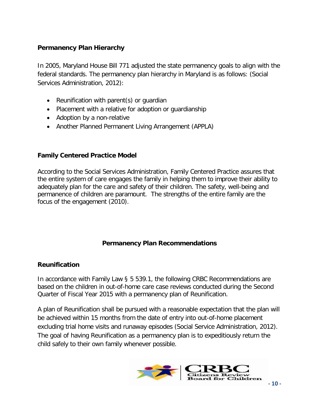#### <span id="page-9-0"></span>**Permanency Plan Hierarchy**

In 2005, Maryland House Bill 771 adjusted the state permanency goals to align with the federal standards. The permanency plan hierarchy in Maryland is as follows: (Social Services Administration, 2012):

- Reunification with parent(s) or guardian
- Placement with a relative for adoption or guardianship
- Adoption by a non-relative
- Another Planned Permanent Living Arrangement (APPLA)

#### <span id="page-9-1"></span>**Family Centered Practice Model**

According to the Social Services Administration, Family Centered Practice assures that the entire system of care engages the family in helping them to improve their ability to adequately plan for the care and safety of their children. The safety, well-being and permanence of children are paramount. The strengths of the entire family are the focus of the engagement (2010).

#### **Permanency Plan Recommendations**

#### <span id="page-9-3"></span><span id="page-9-2"></span>**Reunification**

In accordance with Family Law § 5 539.1, the following CRBC Recommendations are based on the children in out-of-home care case reviews conducted during the Second Quarter of Fiscal Year 2015 with a permanency plan of Reunification.

A plan of Reunification shall be pursued with a reasonable expectation that the plan will be achieved within 15 months from the date of entry into out-of-home placement excluding trial home visits and runaway episodes (Social Service Administration, 2012). The goal of having Reunification as a permanency plan is to expeditiously return the child safely to their own family whenever possible.

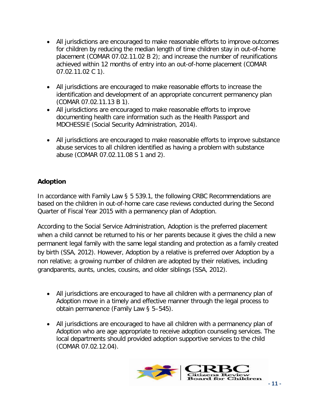- All jurisdictions are encouraged to make reasonable efforts to improve outcomes for children by reducing the median length of time children stay in out-of-home placement (COMAR 07.02.11.02 B 2); and increase the number of reunifications achieved within 12 months of entry into an out-of-home placement (COMAR 07.02.11.02 C 1).
- All jurisdictions are encouraged to make reasonable efforts to increase the identification and development of an appropriate concurrent permanency plan (COMAR 07.02.11.13 B 1).
- All jurisdictions are encouraged to make reasonable efforts to improve documenting health care information such as the Health Passport and MDCHESSIE (Social Security Administration, 2014).
- All jurisdictions are encouraged to make reasonable efforts to improve substance abuse services to all children identified as having a problem with substance abuse (COMAR 07.02.11.08 S 1 and 2).

# <span id="page-10-0"></span>**Adoption**

In accordance with Family Law § 5 539.1, the following CRBC Recommendations are based on the children in out-of-home care case reviews conducted during the Second Quarter of Fiscal Year 2015 with a permanency plan of Adoption.

According to the Social Service Administration, Adoption is the preferred placement when a child cannot be returned to his or her parents because it gives the child a new permanent legal family with the same legal standing and protection as a family created by birth (SSA, 2012). However, Adoption by a relative is preferred over Adoption by a non relative; a growing number of children are adopted by their relatives, including grandparents, aunts, uncles, cousins, and older siblings (SSA, 2012).

- All jurisdictions are encouraged to have all children with a permanency plan of Adoption move in a timely and effective manner through the legal process to obtain permanence (Family Law § 5–545).
- All jurisdictions are encouraged to have all children with a permanency plan of Adoption who are age appropriate to receive adoption counseling services. The local departments should provided adoption supportive services to the child (COMAR 07.02.12.04).

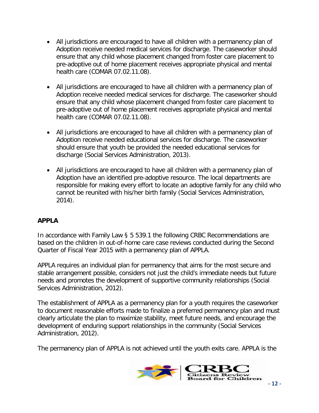- All jurisdictions are encouraged to have all children with a permanency plan of Adoption receive needed medical services for discharge. The caseworker should ensure that any child whose placement changed from foster care placement to pre-adoptive out of home placement receives appropriate physical and mental health care (COMAR 07.02.11.08).
- All jurisdictions are encouraged to have all children with a permanency plan of Adoption receive needed medical services for discharge. The caseworker should ensure that any child whose placement changed from foster care placement to pre-adoptive out of home placement receives appropriate physical and mental health care (COMAR 07.02.11.08).
- All jurisdictions are encouraged to have all children with a permanency plan of Adoption receive needed educational services for discharge. The caseworker should ensure that youth be provided the needed educational services for discharge (Social Services Administration, 2013).
- All jurisdictions are encouraged to have all children with a permanency plan of Adoption have an identified pre-adoptive resource. The local departments are responsible for making every effort to locate an adoptive family for any child who cannot be reunited with his/her birth family (Social Services Administration, 2014).

# <span id="page-11-0"></span>**APPLA**

In accordance with Family Law § 5 539.1 the following CRBC Recommendations are based on the children in out-of-home care case reviews conducted during the Second Quarter of Fiscal Year 2015 with a permanency plan of APPLA.

APPLA requires an individual plan for permanency that aims for the most secure and stable arrangement possible, considers not just the child's immediate needs but future needs and promotes the development of supportive community relationships (Social Services Administration, 2012).

The establishment of APPLA as a permanency plan for a youth requires the caseworker to document reasonable efforts made to finalize a preferred permanency plan and must clearly articulate the plan to maximize stability, meet future needs, and encourage the development of enduring support relationships in the community (Social Services Administration, 2012).

The permanency plan of APPLA is not achieved until the youth exits care. APPLA is the

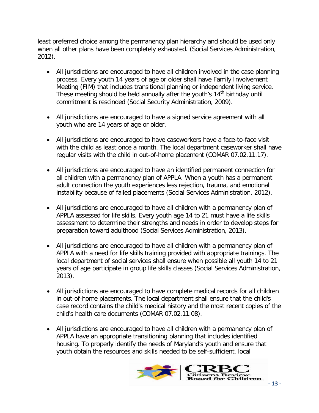least preferred choice among the permanency plan hierarchy and should be used only when all other plans have been completely exhausted. (Social Services Administration, 2012).

- All jurisdictions are encouraged to have all children involved in the case planning process. Every youth 14 years of age or older shall have Family Involvement Meeting (FIM) that includes transitional planning or independent living service. These meeting should be held annually after the youth's 14<sup>th</sup> birthday until commitment is rescinded (Social Security Administration, 2009).
- All jurisdictions are encouraged to have a signed service agreement with all youth who are 14 years of age or older.
- All jurisdictions are encouraged to have caseworkers have a face-to-face visit with the child as least once a month. The local department caseworker shall have regular visits with the child in out-of-home placement (COMAR 07.02.11.17).
- All jurisdictions are encouraged to have an identified permanent connection for all children with a permanency plan of APPLA. When a youth has a permanent adult connection the youth experiences less rejection, trauma, and emotional instability because of failed placements (Social Services Administration, 2012).
- All jurisdictions are encouraged to have all children with a permanency plan of APPLA assessed for life skills. Every youth age 14 to 21 must have a life skills assessment to determine their strengths and needs in order to develop steps for preparation toward adulthood (Social Services Administration, 2013).
- All jurisdictions are encouraged to have all children with a permanency plan of APPLA with a need for life skills training provided with appropriate trainings. The local department of social services shall ensure when possible all youth 14 to 21 years of age participate in group life skills classes (Social Services Administration, 2013).
- All jurisdictions are encouraged to have complete medical records for all children in out-of-home placements. The local department shall ensure that the child's case record contains the child's medical history and the most recent copies of the child's health care documents (COMAR 07.02.11.08).
- All jurisdictions are encouraged to have all children with a permanency plan of APPLA have an appropriate transitioning planning that includes identified housing. To properly identify the needs of Maryland's youth and ensure that youth obtain the resources and skills needed to be self-sufficient, local

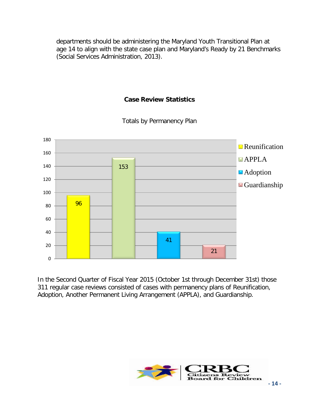departments should be administering the Maryland Youth Transitional Plan at age 14 to align with the state case plan and Maryland's Ready by 21 Benchmarks (Social Services Administration, 2013).

#### **Case Review Statistics**

<span id="page-13-1"></span><span id="page-13-0"></span>

Totals by Permanency Plan

In the Second Quarter of Fiscal Year 2015 (October 1st through December 31st) those 311 regular case reviews consisted of cases with permanency plans of Reunification, Adoption, Another Permanent Living Arrangement (APPLA), and Guardianship.

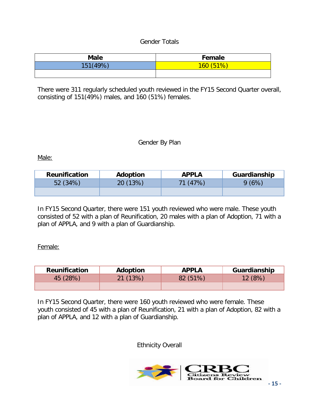#### Gender Totals

<span id="page-14-0"></span>

| <b>Male</b> | Female   |
|-------------|----------|
| 151(49%)    | 160(51%) |
|             |          |

There were 311 regularly scheduled youth reviewed in the FY15 Second Quarter overall, consisting of 151(49%) males, and 160 (51%) females.

#### Gender By Plan

<span id="page-14-1"></span>Male:

| <b>Reunification</b> | Adoption | <b>APPLA</b> | Guardianship |
|----------------------|----------|--------------|--------------|
| 52 (34%)             | 20 (13%) | 71 (47%)     | 9(6%)        |
|                      |          |              |              |

In FY15 Second Quarter, there were 151 youth reviewed who were male. These youth consisted of 52 with a plan of Reunification, 20 males with a plan of Adoption, 71 with a plan of APPLA, and 9 with a plan of Guardianship.

Female:

| <b>Reunification</b> | Adoption | <b>APPLA</b> | Guardianship |
|----------------------|----------|--------------|--------------|
| 45 (28%)             | 21 (13%) | 82 (51%)     | 12(8%)       |
|                      |          |              |              |

<span id="page-14-2"></span>In FY15 Second Quarter, there were 160 youth reviewed who were female. These youth consisted of 45 with a plan of Reunification, 21 with a plan of Adoption, 82 with a plan of APPLA, and 12 with a plan of Guardianship.

Ethnicity Overall

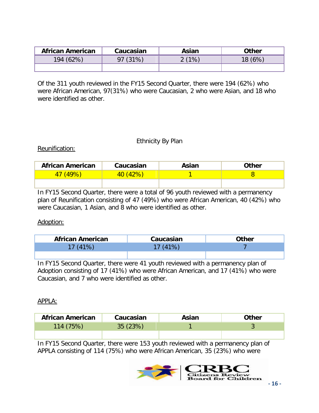| <b>African American</b> | Caucasian | Asian | Other |
|-------------------------|-----------|-------|-------|
| 194 (62%)               | $(31\%$   | (1%   | 5%    |
|                         |           |       |       |

Of the 311 youth reviewed in the FY15 Second Quarter, there were 194 (62%) who were African American, 97(31%) who were Caucasian, 2 who were Asian, and 18 who were identified as other.

#### Ethnicity By Plan

#### <span id="page-15-0"></span>Reunification:

| <b>African American</b> | Caucasian | Asian | <b>Other</b> |
|-------------------------|-----------|-------|--------------|
| $(49\%)$                | 40(42%)   |       |              |
|                         |           |       |              |

In FY15 Second Quarter, there were a total of 96 youth reviewed with a permanency plan of Reunification consisting of 47 (49%) who were African American, 40 (42%) who were Caucasian, 1 Asian, and 8 who were identified as other.

#### Adoption:

| <b>African American</b> | Caucasian | <b>Other</b> |
|-------------------------|-----------|--------------|
| 17(41%)                 | 17 (41%)  |              |
|                         |           |              |

In FY15 Second Quarter, there were 41 youth reviewed with a permanency plan of Adoption consisting of 17 (41%) who were African American, and 17 (41%) who were Caucasian, and 7 who were identified as other.

#### APPLA:

| <b>African American</b> | Caucasian | Asian | Other |
|-------------------------|-----------|-------|-------|
| 114 (75%)               | 35(23%)   |       |       |
|                         |           |       |       |

In FY15 Second Quarter, there were 153 youth reviewed with a permanency plan of APPLA consisting of 114 (75%) who were African American, 35 (23%) who were

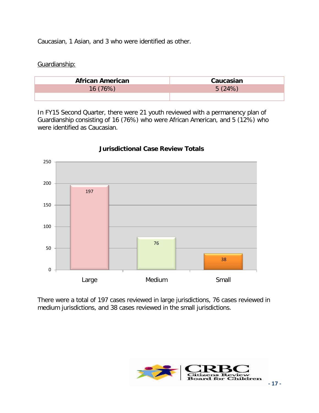Caucasian, 1 Asian, and 3 who were identified as other.

#### Guardianship:

| <b>African American</b> | Caucasian |
|-------------------------|-----------|
| 16(76%)                 | 5(24%)    |
|                         |           |

In FY15 Second Quarter, there were 21 youth reviewed with a permanency plan of Guardianship consisting of 16 (76%) who were African American, and 5 (12%) who were identified as Caucasian.



#### **Jurisdictional Case Review Totals**

There were a total of 197 cases reviewed in large jurisdictions, 76 cases reviewed in medium jurisdictions, and 38 cases reviewed in the small jurisdictions.

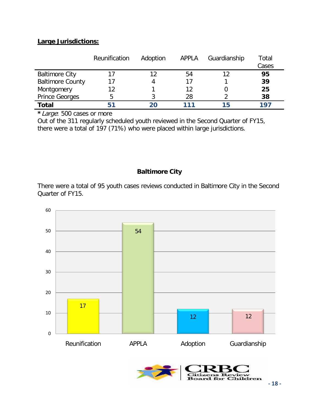#### <span id="page-17-0"></span>**Large Jurisdictions:**

|                         | Reunification | Adoption | APPLA | Guardianship | Total<br>Cases |
|-------------------------|---------------|----------|-------|--------------|----------------|
| <b>Baltimore City</b>   |               | 12       | 54    |              | 95             |
| <b>Baltimore County</b> |               |          | 17    |              | 39             |
| Montgomery              | 12            |          | 12    |              | 25             |
| <b>Prince Georges</b>   | 5             |          | 28    |              | 38             |
| Total                   | 51            |          | 111   | 15           | 197            |

**\***Large: 500 cases or more

Out of the 311 regularly scheduled youth reviewed in the Second Quarter of FY15, there were a total of 197 (71%) who were placed within large jurisdictions.

#### **Baltimore City**

<span id="page-17-1"></span>There were a total of 95 youth cases reviews conducted in Baltimore City in the Second Quarter of FY15.

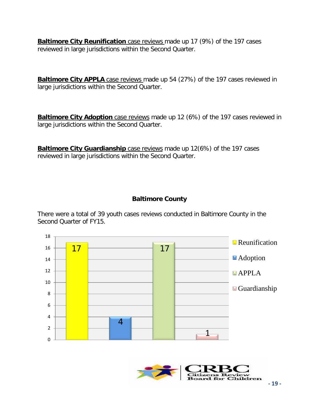**Baltimore City Reunification** case reviews made up 17 (9%) of the 197 cases reviewed in large jurisdictions within the Second Quarter.

**Baltimore City APPLA** case reviews made up 54 (27%) of the 197 cases reviewed in large jurisdictions within the Second Quarter.

**Baltimore City Adoption** case reviews made up 12 (6%) of the 197 cases reviewed in large jurisdictions within the Second Quarter.

**Baltimore City Guardianship** case reviews made up 12(6%) of the 197 cases reviewed in large jurisdictions within the Second Quarter.

# **Baltimore County**

<span id="page-18-0"></span>There were a total of 39 youth cases reviews conducted in Baltimore County in the Second Quarter of FY15.



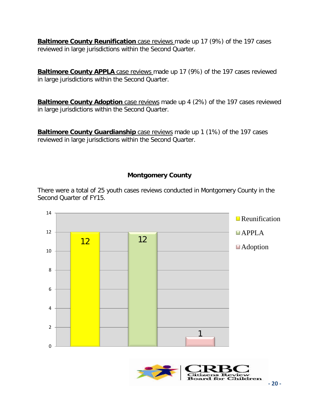**Baltimore County Reunification** case reviews made up 17 (9%) of the 197 cases reviewed in large jurisdictions within the Second Quarter.

**Baltimore County APPLA** case reviews made up 17 (9%) of the 197 cases reviewed in large jurisdictions within the Second Quarter.

**Baltimore County Adoption** case reviews made up 4 (2%) of the 197 cases reviewed in large jurisdictions within the Second Quarter.

**Baltimore County Guardianship** case reviews made up 1 (1%) of the 197 cases reviewed in large jurisdictions within the Second Quarter.

# **Montgomery County**

<span id="page-19-0"></span>There were a total of 25 youth cases reviews conducted in Montgomery County in the Second Quarter of FY15.



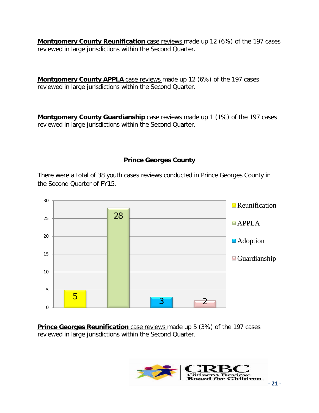**Montgomery County Reunification** case reviews made up 12 (6%) of the 197 cases reviewed in large jurisdictions within the Second Quarter.

**Montgomery County APPLA** case reviews made up 12 (6%) of the 197 cases reviewed in large jurisdictions within the Second Quarter.

**Montgomery County Guardianship** case reviews made up 1 (1%) of the 197 cases reviewed in large jurisdictions within the Second Quarter.

# **Prince Georges County**

<span id="page-20-0"></span>There were a total of 38 youth cases reviews conducted in Prince Georges County in the Second Quarter of FY15.



**Prince Georges Reunification** case reviews made up 5 (3%) of the 197 cases reviewed in large jurisdictions within the Second Quarter.

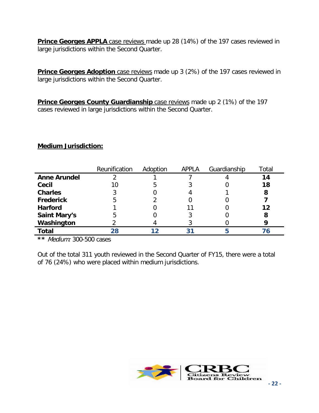**Prince Georges APPLA** case reviews made up 28 (14%) of the 197 cases reviewed in large jurisdictions within the Second Quarter.

**Prince Georges Adoption** case reviews made up 3 (2%) of the 197 cases reviewed in large jurisdictions within the Second Quarter.

**Prince Georges County Guardianship** case reviews made up 2 (1%) of the 197 cases reviewed in large jurisdictions within the Second Quarter.

#### <span id="page-21-0"></span>**Medium Jurisdiction:**

|                     | Reunification | Adoption | <b>APPLA</b> | Guardianship | Total |
|---------------------|---------------|----------|--------------|--------------|-------|
| <b>Anne Arundel</b> |               |          |              |              | 14    |
| Cecil               | 10            |          |              |              | 18    |
| <b>Charles</b>      |               |          |              |              | 8     |
| <b>Frederick</b>    |               |          |              |              |       |
| <b>Harford</b>      |               |          |              |              | 12    |
| <b>Saint Mary's</b> |               |          |              |              | 8     |
| Washington          |               |          |              |              |       |
| <b>Total</b>        | 28            |          | 31           |              |       |

**\*\*** Medium: 300-500 cases

Out of the total 311 youth reviewed in the Second Quarter of FY15, there were a total of 76 (24%) who were placed within medium jurisdictions.

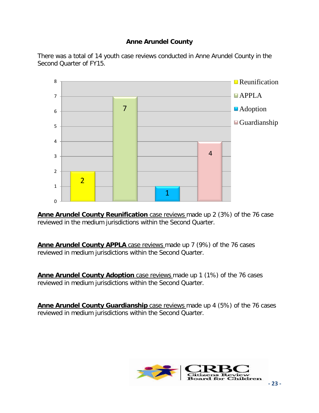# **Anne Arundel County**

<span id="page-22-0"></span>There was a total of 14 youth case reviews conducted in Anne Arundel County in the Second Quarter of FY15.



**Anne Arundel County Reunification** case reviews made up 2 (3%) of the 76 case reviewed in the medium jurisdictions within the Second Quarter.

**Anne Arundel County APPLA** case reviews made up 7 (9%) of the 76 cases reviewed in medium jurisdictions within the Second Quarter.

**Anne Arundel County Adoption** case reviews made up 1 (1%) of the 76 cases reviewed in medium jurisdictions within the Second Quarter.

**Anne Arundel County Guardianship** case reviews made up 4 (5%) of the 76 cases reviewed in medium jurisdictions within the Second Quarter.

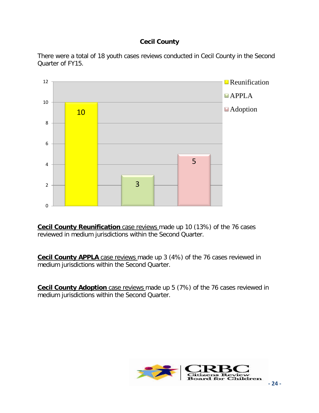# **Cecil County**

<span id="page-23-0"></span>There were a total of 18 youth cases reviews conducted in Cecil County in the Second Quarter of FY15.



**Cecil County Reunification** case reviews made up 10 (13%) of the 76 cases reviewed in medium jurisdictions within the Second Quarter.

**Cecil County APPLA** case reviews made up 3 (4%) of the 76 cases reviewed in medium jurisdictions within the Second Quarter.

**Cecil County Adoption** case reviews made up 5 (7%) of the 76 cases reviewed in medium jurisdictions within the Second Quarter.

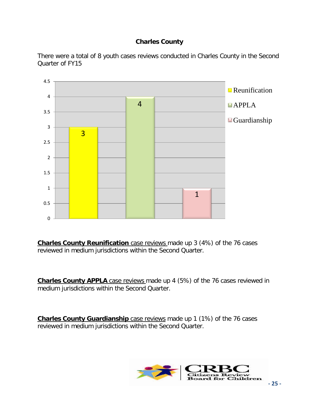# **Charles County**

<span id="page-24-0"></span>There were a total of 8 youth cases reviews conducted in Charles County in the Second Quarter of FY15



**Charles County Reunification** case reviews made up 3 (4%) of the 76 cases reviewed in medium jurisdictions within the Second Quarter.

**Charles County APPLA** case reviews made up 4 (5%) of the 76 cases reviewed in medium jurisdictions within the Second Quarter.

**Charles County Guardianship** case reviews made up 1 (1%) of the 76 cases reviewed in medium jurisdictions within the Second Quarter.

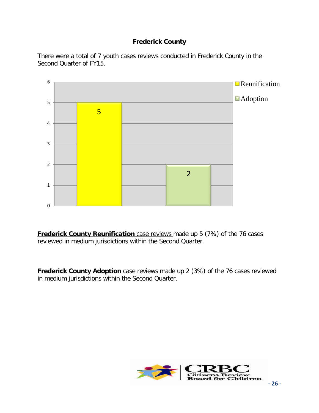# **Frederick County**

<span id="page-25-0"></span>There were a total of 7 youth cases reviews conducted in Frederick County in the Second Quarter of FY15.



**Frederick County Reunification** case reviews made up 5 (7%) of the 76 cases reviewed in medium jurisdictions within the Second Quarter.

**Frederick County Adoption** case reviews made up 2 (3%) of the 76 cases reviewed in medium jurisdictions within the Second Quarter.

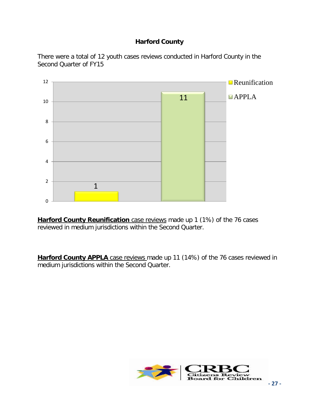# **Harford County**

<span id="page-26-0"></span>There were a total of 12 youth cases reviews conducted in Harford County in the Second Quarter of FY15



**Harford County Reunification** case reviews made up 1 (1%) of the 76 cases reviewed in medium jurisdictions within the Second Quarter.

**Harford County APPLA** case reviews made up 11 (14%) of the 76 cases reviewed in medium jurisdictions within the Second Quarter.

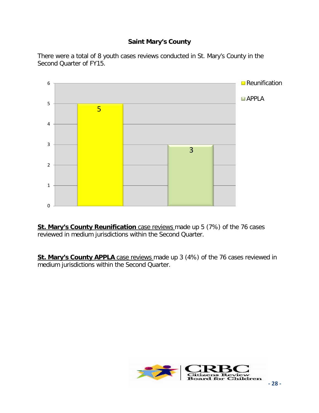# **Saint Mary's County**

<span id="page-27-0"></span>There were a total of 8 youth cases reviews conducted in St. Mary's County in the Second Quarter of FY15.



**St. Mary's County Reunification** case reviews made up 5 (7%) of the 76 cases reviewed in medium jurisdictions within the Second Quarter.

**St. Mary's County APPLA** case reviews made up 3 (4%) of the 76 cases reviewed in medium jurisdictions within the Second Quarter.

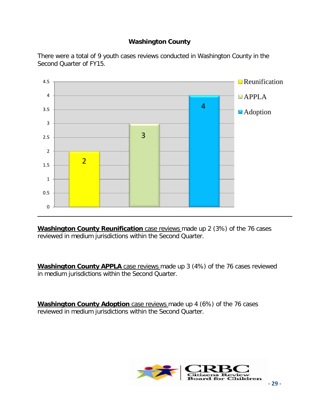# **Washington County**

<span id="page-28-0"></span>There were a total of 9 youth cases reviews conducted in Washington County in the Second Quarter of FY15.



**Washington County Reunification** case reviews made up 2 (3%) of the 76 cases reviewed in medium jurisdictions within the Second Quarter.

**Washington County APPLA** case reviews made up 3 (4%) of the 76 cases reviewed in medium jurisdictions within the Second Quarter.

**Washington County Adoption** case reviews made up 4 (6%) of the 76 cases reviewed in medium jurisdictions within the Second Quarter.

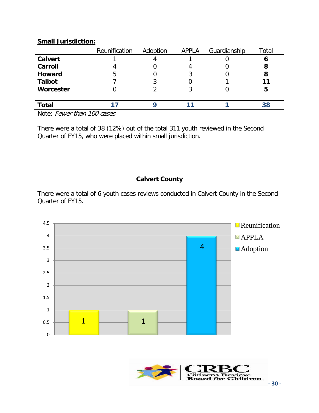<span id="page-29-0"></span>

|                | Reunification | Adoption | <b>APPLA</b> | Guardianship | Total |
|----------------|---------------|----------|--------------|--------------|-------|
| <b>Calvert</b> |               |          |              |              | O     |
| Carroll        |               |          |              |              | 8     |
| <b>Howard</b>  | 5             |          | 3            |              | 8     |
| <b>Talbot</b>  |               |          |              |              |       |
| Worcester      |               |          |              |              | 5     |
|                |               |          |              |              |       |
| <b>Total</b>   |               |          |              |              | 38    |

#### **Small Jurisdiction:**

Note: Fewer than 100 cases

There were a total of 38 (12%) out of the total 311 youth reviewed in the Second Quarter of FY15, who were placed within small jurisdiction.

# **Calvert County**

<span id="page-29-1"></span>There were a total of 6 youth cases reviews conducted in Calvert County in the Second Quarter of FY15.



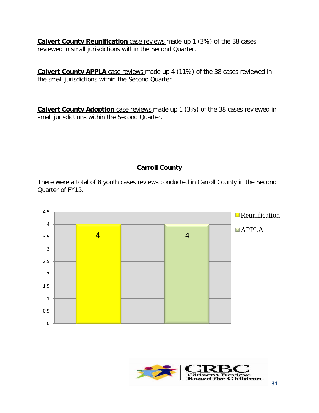**Calvert County Reunification** case reviews made up 1 (3%) of the 38 cases reviewed in small jurisdictions within the Second Quarter.

**Calvert County APPLA** case reviews made up 4 (11%) of the 38 cases reviewed in the small jurisdictions within the Second Quarter.

**Calvert County Adoption** case reviews made up 1 (3%) of the 38 cases reviewed in small jurisdictions within the Second Quarter.

#### **Carroll County**

<span id="page-30-0"></span>There were a total of 8 youth cases reviews conducted in Carroll County in the Second Quarter of FY15.



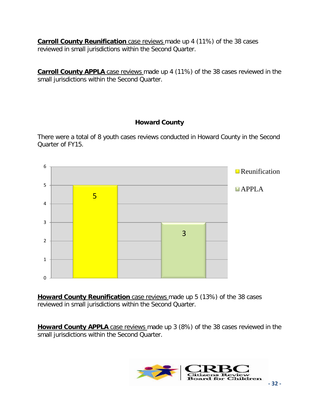**Carroll County Reunification** case reviews made up 4 (11%) of the 38 cases reviewed in small jurisdictions within the Second Quarter.

**Carroll County APPLA** case reviews made up 4 (11%) of the 38 cases reviewed in the small jurisdictions within the Second Quarter.

# **Howard County**

<span id="page-31-0"></span>There were a total of 8 youth cases reviews conducted in Howard County in the Second Quarter of FY15.



**Howard County Reunification** case reviews made up 5 (13%) of the 38 cases reviewed in small jurisdictions within the Second Quarter.

**Howard County APPLA** case reviews made up 3 (8%) of the 38 cases reviewed in the small jurisdictions within the Second Quarter.

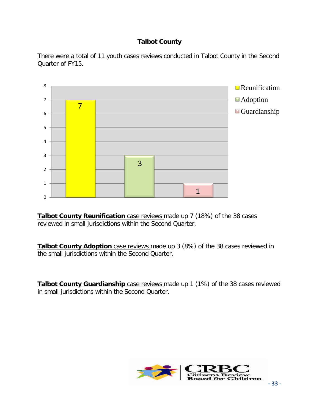# **Talbot County**

<span id="page-32-0"></span>There were a total of 11 youth cases reviews conducted in Talbot County in the Second Quarter of FY15.



**Talbot County Reunification** case reviews made up 7 (18%) of the 38 cases reviewed in small jurisdictions within the Second Quarter.

**Talbot County Adoption** case reviews made up 3 (8%) of the 38 cases reviewed in the small jurisdictions within the Second Quarter.

**Talbot County Guardianship** case reviews made up 1 (1%) of the 38 cases reviewed in small jurisdictions within the Second Quarter.

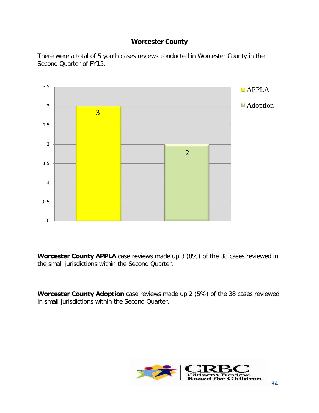# **Worcester County**

<span id="page-33-0"></span>There were a total of 5 youth cases reviews conducted in Worcester County in the Second Quarter of FY15.



**Worcester County APPLA** case reviews made up 3 (8%) of the 38 cases reviewed in the small jurisdictions within the Second Quarter.

**Worcester County Adoption** case reviews made up 2 (5%) of the 38 cases reviewed in small jurisdictions within the Second Quarter.

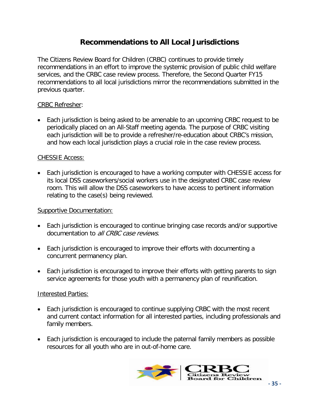# **Recommendations to All Local Jurisdictions**

<span id="page-34-0"></span>The Citizens Review Board for Children (CRBC) continues to provide timely recommendations in an effort to improve the systemic provision of public child welfare services, and the CRBC case review process. Therefore, the Second Quarter FY15 recommendations to all local jurisdictions mirror the recommendations submitted in the previous quarter.

#### CRBC Refresher:

• Each jurisdiction is being asked to be amenable to an upcoming CRBC request to be periodically placed on an All-Staff meeting agenda. The purpose of CRBC visiting each jurisdiction will be to provide a refresher/re-education about CRBC's mission, and how each local jurisdiction plays a crucial role in the case review process.

#### CHESSIE Access:

• Each jurisdiction is encouraged to have a working computer with CHESSIE access for its local DSS caseworkers/social workers use in the designated CRBC case review room. This will allow the DSS caseworkers to have access to pertinent information relating to the case(s) being reviewed.

#### Supportive Documentation:

- Each jurisdiction is encouraged to continue bringing case records and/or supportive documentation to all CRBC case reviews.
- Each jurisdiction is encouraged to improve their efforts with documenting a concurrent permanency plan.
- Each jurisdiction is encouraged to improve their efforts with getting parents to sign service agreements for those youth with a permanency plan of reunification.

#### Interested Parties:

- Each jurisdiction is encouraged to continue supplying CRBC with the most recent and current contact information for all interested parties, including professionals and family members.
- Each jurisdiction is encouraged to include the paternal family members as possible resources for all youth who are in out-of-home care.

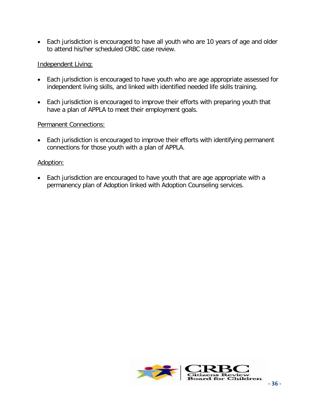• Each jurisdiction is encouraged to have all youth who are 10 years of age and older to attend his/her scheduled CRBC case review.

#### Independent Living:

- Each jurisdiction is encouraged to have youth who are age appropriate assessed for independent living skills, and linked with identified needed life skills training.
- Each jurisdiction is encouraged to improve their efforts with preparing youth that have a plan of APPLA to meet their employment goals.

#### Permanent Connections:

• Each jurisdiction is encouraged to improve their efforts with identifying permanent connections for those youth with a plan of APPLA.

#### Adoption:

• Each jurisdiction are encouraged to have youth that are age appropriate with a permanency plan of Adoption linked with Adoption Counseling services.

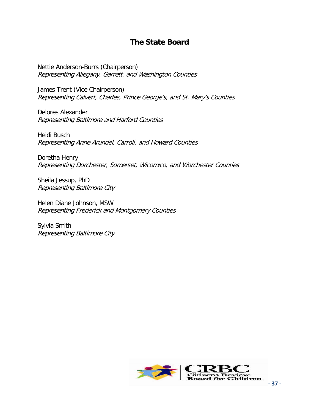# **The State Board**

<span id="page-36-0"></span>Nettie Anderson-Burrs (Chairperson) Representing Allegany, Garrett, and Washington Counties

James Trent (Vice Chairperson) Representing Calvert, Charles, Prince George's, and St. Mary's Counties

Delores Alexander Representing Baltimore and Harford Counties

Heidi Busch Representing Anne Arundel, Carroll, and Howard Counties

Doretha Henry Representing Dorchester, Somerset, Wicomico, and Worchester Counties

Sheila Jessup, PhD Representing Baltimore City

Helen Diane Johnson, MSW Representing Frederick and Montgomery Counties

Sylvia Smith Representing Baltimore City

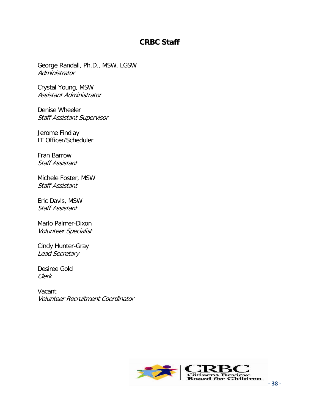# **CRBC Staff**

George Randall, Ph.D., MSW, LGSW Administrator

Crystal Young, MSW Assistant Administrator

Denise Wheeler Staff Assistant Supervisor

Jerome Findlay IT Officer/Scheduler

Fran Barrow Staff Assistant

Michele Foster, MSW Staff Assistant

Eric Davis, MSW Staff Assistant

Marlo Palmer-Dixon Volunteer Specialist

Cindy Hunter-Gray Lead Secretary

Desiree Gold Clerk

Vacant Volunteer Recruitment Coordinator